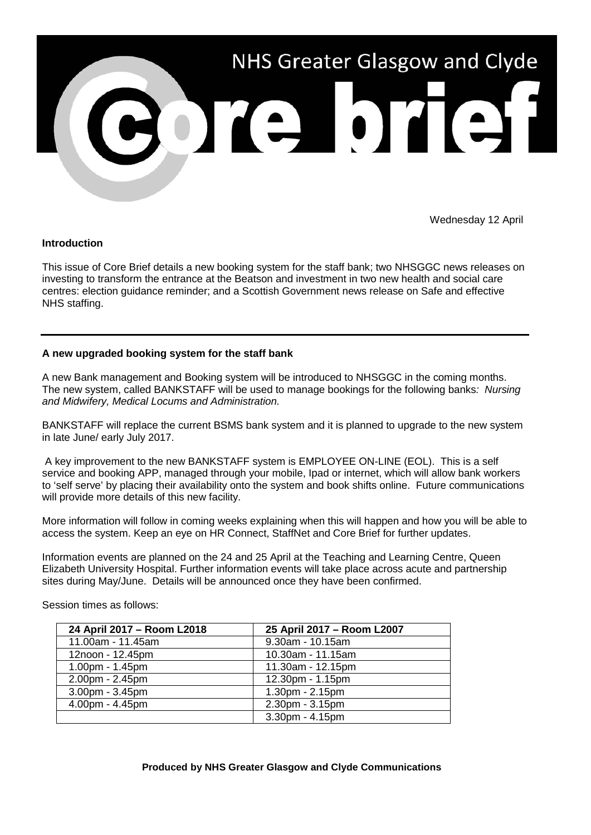

Wednesday 12 April

### **Introduction**

This issue of Core Brief details a new booking system for the staff bank; two NHSGGC news releases on investing to transform the entrance at the Beatson and investment in two new health and social care centres: election guidance reminder; and a Scottish Government news release on Safe and effective NHS staffing.

### **A new upgraded booking system for the staff bank**

A new Bank management and Booking system will be introduced to NHSGGC in the coming months. The new system, called BANKSTAFF will be used to manage bookings for the following banks*: Nursing and Midwifery, Medical Locums and Administration.*

BANKSTAFF will replace the current BSMS bank system and it is planned to upgrade to the new system in late June/ early July 2017.

A key improvement to the new BANKSTAFF system is EMPLOYEE ON-LINE (EOL). This is a self service and booking APP, managed through your mobile, Ipad or internet, which will allow bank workers to 'self serve' by placing their availability onto the system and book shifts online. Future communications will provide more details of this new facility.

More information will follow in coming weeks explaining when this will happen and how you will be able to access the system. Keep an eye on HR Connect, StaffNet and Core Brief for further updates.

Information events are planned on the 24 and 25 April at the Teaching and Learning Centre, Queen Elizabeth University Hospital. Further information events will take place across acute and partnership sites during May/June. Details will be announced once they have been confirmed.

| 24 April 2017 - Room L2018 | 25 April 2017 - Room L2007 |
|----------------------------|----------------------------|
| 11.00am - 11.45am          | 9.30am - 10.15am           |
| 12noon - 12.45pm           | 10.30am - 11.15am          |
| $1.00pm - 1.45pm$          | 11.30am - 12.15pm          |
| 2.00pm - 2.45pm            | 12.30pm - 1.15pm           |
| 3.00pm - 3.45pm            | $1.30pm - 2.15pm$          |
| 4.00pm - 4.45pm            | 2.30pm - 3.15pm            |
|                            | 3.30pm - 4.15pm            |

Session times as follows: